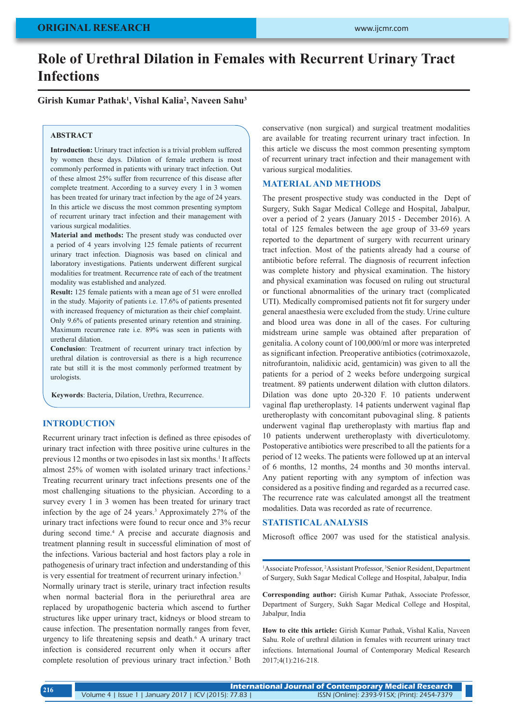# **Role of Urethral Dilation in Females with Recurrent Urinary Tract Infections**

## **Girish Kumar Pathak1 , Vishal Kalia2 , Naveen Sahu3**

#### **ABSTRACT**

**Introduction:** Urinary tract infection is a trivial problem suffered by women these days. Dilation of female urethera is most commonly performed in patients with urinary tract infection. Out of these almost 25% suffer from recurrence of this disease after complete treatment. According to a survey every 1 in 3 women has been treated for urinary tract infection by the age of 24 years. In this article we discuss the most common presenting symptom of recurrent urinary tract infection and their management with various surgical modalities.

**Material and methods:** The present study was conducted over a period of 4 years involving 125 female patients of recurrent urinary tract infection. Diagnosis was based on clinical and laboratory investigations. Patients underwent different surgical modalities for treatment. Recurrence rate of each of the treatment modality was established and analyzed.

**Result:** 125 female patients with a mean age of 51 were enrolled in the study. Majority of patients i.e. 17.6% of patients presented with increased frequency of micturation as their chief complaint. Only 9.6% of patients presented urinary retention and straining. Maximum recurrence rate i.e. 89% was seen in patients with uretheral dilation.

**Conclusio**n: Treatment of recurrent urinary tract infection by urethral dilation is controversial as there is a high recurrence rate but still it is the most commonly performed treatment by urologists.

**Keywords**: Bacteria, Dilation, Urethra, Recurrence.

## **INTRODUCTION**

Recurrent urinary tract infection is defined as three episodes of urinary tract infection with three positive urine cultures in the previous 12 months or two episodes in last six months.<sup>1</sup> It affects almost 25% of women with isolated urinary tract infections.<sup>2</sup> Treating recurrent urinary tract infections presents one of the most challenging situations to the physician. According to a survey every 1 in 3 women has been treated for urinary tract infection by the age of 24 years.3 Approximately 27% of the urinary tract infections were found to recur once and 3% recur during second time.4 A precise and accurate diagnosis and treatment planning result in successful elimination of most of the infections. Various bacterial and host factors play a role in pathogenesis of urinary tract infection and understanding of this is very essential for treatment of recurrent urinary infection.<sup>5</sup>

Normally urinary tract is sterile, urinary tract infection results when normal bacterial flora in the periurethral area are replaced by uropathogenic bacteria which ascend to further structures like upper urinary tract, kidneys or blood stream to cause infection. The presentation normally ranges from fever, urgency to life threatening sepsis and death.6 A urinary tract infection is considered recurrent only when it occurs after complete resolution of previous urinary tract infection.<sup>7</sup> Both conservative (non surgical) and surgical treatment modalities are available for treating recurrent urinary tract infection. In this article we discuss the most common presenting symptom of recurrent urinary tract infection and their management with various surgical modalities.

### **MATERIAL AND METHODS**

The present prospective study was conducted in the Dept of Surgery, Sukh Sagar Medical College and Hospital, Jabalpur, over a period of 2 years (January 2015 - December 2016). A total of 125 females between the age group of 33-69 years reported to the department of surgery with recurrent urinary tract infection. Most of the patients already had a course of antibiotic before referral. The diagnosis of recurrent infection was complete history and physical examination. The history and physical examination was focused on ruling out structural or functional abnormalities of the urinary tract (complicated UTI). Medically compromised patients not fit for surgery under general anaesthesia were excluded from the study. Urine culture and blood urea was done in all of the cases. For culturing midstream urine sample was obtained after preparation of genitalia. A colony count of 100,000/ml or more was interpreted as significant infection. Preoperative antibiotics (cotrimoxazole, nitrofurantoin, nalidixic acid, gentamicin) was given to all the patients for a period of 2 weeks before undergoing surgical treatment. 89 patients underwent dilation with clutton dilators. Dilation was done upto 20-320 F. 10 patients underwent vaginal flap uretheroplasty. 14 patients underwent vaginal flap uretheroplasty with concomitant pubovaginal sling. 8 patients underwent vaginal flap uretheroplasty with martius flap and 10 patients underwent uretheroplasty with diverticulotomy. Postoperative antibiotics were prescribed to all the patients for a period of 12 weeks. The patients were followed up at an interval of 6 months, 12 months, 24 months and 30 months interval. Any patient reporting with any symptom of infection was considered as a positive finding and regarded as a recurred case. The recurrence rate was calculated amongst all the treatment modalities. Data was recorded as rate of recurrence.

## **STATISTICAL ANALYSIS**

Microsoft office 2007 was used for the statistical analysis.

<sup>1</sup> Associate Professor, <sup>2</sup> Assistant Professor, <sup>3</sup> Senior Resident, Department of Surgery, Sukh Sagar Medical College and Hospital, Jabalpur, India

**Corresponding author:** Girish Kumar Pathak, Associate Professor, Department of Surgery, Sukh Sagar Medical College and Hospital, Jabalpur, India

**How to cite this article:** Girish Kumar Pathak, Vishal Kalia, Naveen Sahu. Role of urethral dilation in females with recurrent urinary tract infections. International Journal of Contemporary Medical Research 2017;4(1):216-218.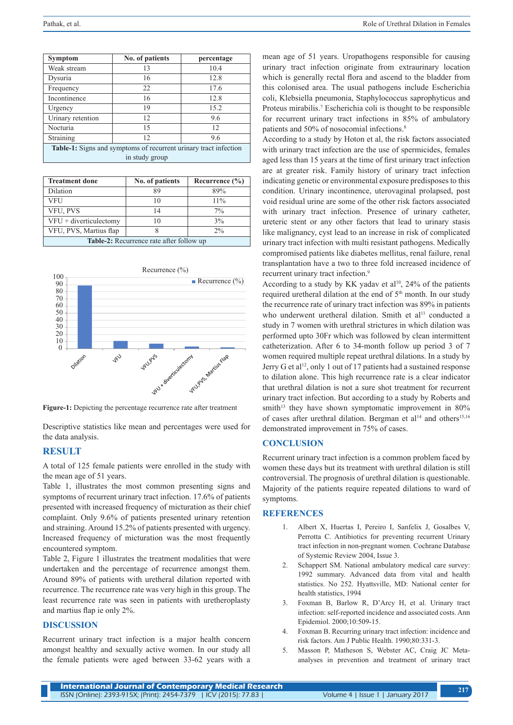| Symptom                                                                 | No. of patients | percentage |  |
|-------------------------------------------------------------------------|-----------------|------------|--|
| Weak stream                                                             | 13              | 10.4       |  |
| Dysuria                                                                 | 16              | 12.8       |  |
| Frequency                                                               | 22              | 17.6       |  |
| Incontinence                                                            | 16              | 12.8       |  |
| Urgency                                                                 | 19              | 15.2       |  |
| Urinary retention                                                       | 12              | 9.6        |  |
| Nocturia                                                                | 15              | 12         |  |
| Straining                                                               | 12              | 9.6        |  |
| <b>Table-1:</b> Signs and symptoms of recurrent urinary tract infection |                 |            |  |
| in study group                                                          |                 |            |  |

| <b>Treatment done</b>                           | No. of patients | Recurrence $(\% )$ |  |
|-------------------------------------------------|-----------------|--------------------|--|
| Dilation                                        | 89              | 89%                |  |
| <b>VFU</b>                                      | 10              | $11\%$             |  |
| VFU, PVS                                        | 14              | $7\%$              |  |
| $VFU + diverticulectomy$                        | 10              | 3%                 |  |
| VFU, PVS, Martius flap                          |                 | $2\%$              |  |
| <b>Table-2:</b> Recurrence rate after follow up |                 |                    |  |



**Figure-1:** Depicting the percentage recurrence rate after treatment

Descriptive statistics like mean and percentages were used for the data analysis.

# **RESULT**

A total of 125 female patients were enrolled in the study with the mean age of 51 years.

Table 1, illustrates the most common presenting signs and symptoms of recurrent urinary tract infection. 17.6% of patients presented with increased frequency of micturation as their chief complaint. Only 9.6% of patients presented urinary retention and straining. Around 15.2% of patients presented with urgency. Increased frequency of micturation was the most frequently encountered symptom.

Table 2, Figure 1 illustrates the treatment modalities that were undertaken and the percentage of recurrence amongst them. Around 89% of patients with uretheral dilation reported with recurrence. The recurrence rate was very high in this group. The least recurrence rate was seen in patients with uretheroplasty and martius flap ie only 2%.

## **DISCUSSION**

Recurrent urinary tract infection is a major health concern amongst healthy and sexually active women. In our study all the female patients were aged between 33-62 years with a mean age of 51 years. Uropathogens responsible for causing urinary tract infection originate from extraurinary location which is generally rectal flora and ascend to the bladder from this colonised area. The usual pathogens include Escherichia coli, Klebsiella pneumonia, Staphylococcus saprophyticus and Proteus mirabilis.7 Escherichia coli is thought to be responsible for recurrent urinary tract infections in 85% of ambulatory patients and 50% of nosocomial infections.8

According to a study by Hoton et al, the risk factors associated with urinary tract infection are the use of spermicides, females aged less than 15 years at the time of first urinary tract infection are at greater risk. Family history of urinary tract infection indicating genetic or environmental exposure predisposes to this condition. Urinary incontinence, uterovaginal prolapsed, post void residual urine are some of the other risk factors associated with urinary tract infection. Presence of urinary catheter, ureteric stent or any other factors that lead to urinary stasis like malignancy, cyst lead to an increase in risk of complicated urinary tract infection with multi resistant pathogens. Medically compromised patients like diabetes mellitus, renal failure, renal transplantation have a two to three fold increased incidence of recurrent urinary tract infection.<sup>9</sup>

According to a study by KK yadav et al<sup>10</sup>, 24% of the patients required uretheral dilation at the end of 5th month. In our study the recurrence rate of urinary tract infection was 89% in patients who underwent uretheral dilation. Smith et al<sup>11</sup> conducted a study in 7 women with urethral strictures in which dilation was performed upto 30Fr which was followed by clean intermittent catheterization. After 6 to 34-month follow up period 3 of 7 women required multiple repeat urethral dilations. In a study by Jerry G et al<sup>12</sup>, only 1 out of 17 patients had a sustained response to dilation alone. This high recurrence rate is a clear indicator that urethral dilation is not a sure shot treatment for recurrent urinary tract infection. But according to a study by Roberts and smith $13$  they have shown symptomatic improvement in  $80\%$ of cases after urethral dilation. Bergman et al<sup>14</sup> and others<sup>15,16</sup> demonstrated improvement in 75% of cases.

#### **CONCLUSION**

Recurrent urinary tract infection is a common problem faced by women these days but its treatment with urethral dilation is still controversial. The prognosis of urethral dilation is questionable. Majority of the patients require repeated dilations to ward of symptoms.

### **REFERENCES**

- 1. Albert X, Huertas I, Pereiro I, Sanfelix J, Gosalbes V, Perrotta C. Antibiotics for preventing recurrent Urinary tract infection in non-pregnant women. Cochrane Database of Systemic Review 2004, Issue 3.
- 2. Schappert SM. National ambulatory medical care survey: 1992 summary. Advanced data from vital and health statistics. No 252. Hyattsville, MD: National center for health statistics, 1994
- 3. Foxman B, Barlow R, D'Arcy H, et al. Urinary tract infection: self-reported incidence and associated costs. Ann Epidemiol. 2000;10:509-15.
- 4. Foxman B. Recurring urinary tract infection: incidence and risk factors. Am J Public Health. 1990;80:331-3.
- 5. Masson P, Matheson S, Webster AC, Craig JC Metaanalyses in prevention and treatment of urinary tract